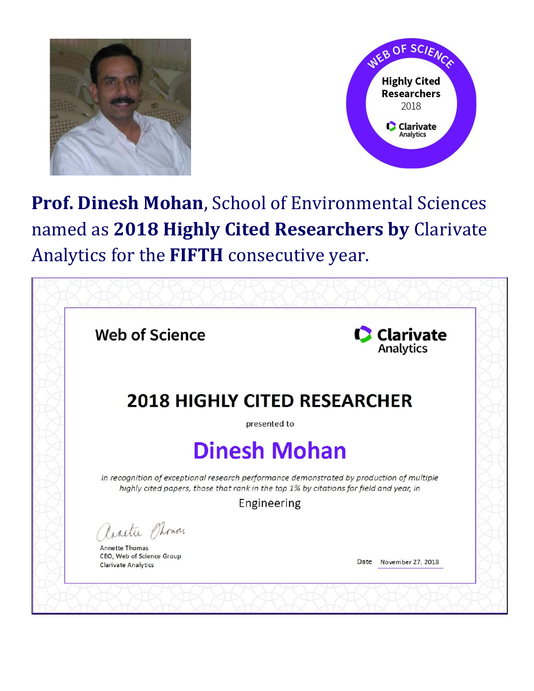



## **Prof. Dinesh Mohan**, School of Environmental Sciences named as **2018 Highly Cited Researchers by** Clarivate Analytics for the **FIFTH** consecutive year.